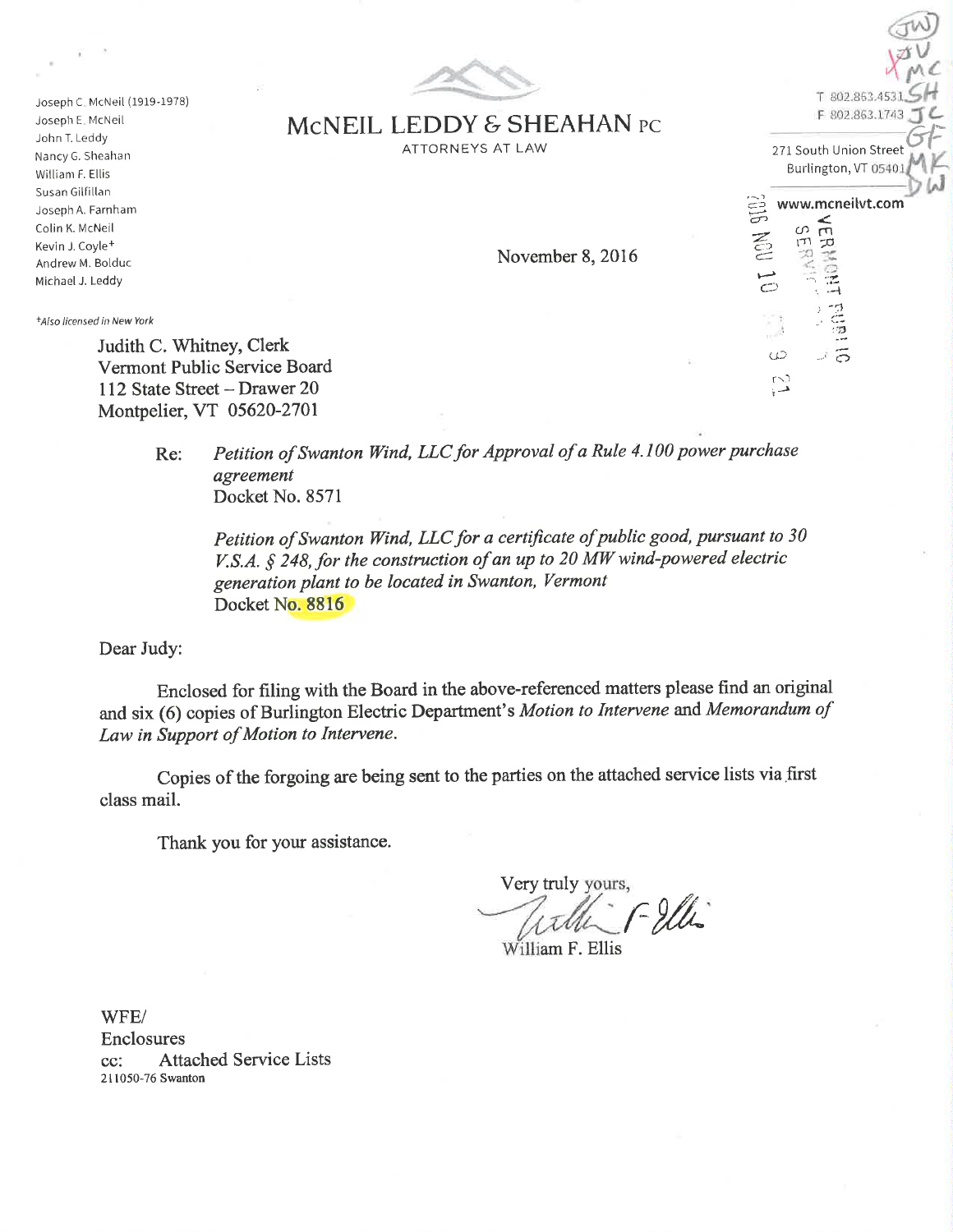

MCNEIL LEDDY & SHEAHAN PC ATTORNEYS AT LAW

Joseph C. McNeil (1919-I978) Joseph E. McNeil John T. Leddy Nancy G. Sheahan William F. Ellis Susan Gilfiltan Joseph A. Farnham Colin K. McNeil Kevin J. Coyle+ Andrew M. Bolduc Michael J. Leddy

+Also licensed in New York

Judith C. Whitney, Clerk Vermont Public Service Board 112 State Street - Drawer 20 Montpelier, VT 05620-2701

> Re: Petition of Swanton Wind, LLC for Approval of a Rule 4.100 power purchase agreernent Docket No. 8571

Petition of Swanton Wind, LLC for a certificate of public good, pursuant to 30 V.S.A.  $§$  248, for the construction of an up to 20 MW wind-powered electric generatíon plant to be located ín Swanton, Vermont Docket No. 8816

Dear Judy:

Enclosed for filing with the Board in the above-referenced matters please find an original and six (6) copies of Burlington Electric Department's Motion to Intervene and Memorandum of Law ín Support of Motion to Intervene.

Copies of the forgoing are being sent to the parties on the attached service lists via first class mail.

Thank you for your assistance.

Very truly yours,  $f - 2fh$ 

William F. Ellis

WFE/ Enclosures cc: Attached Service Lists 2l 1050-76 Swanton

 $X \sim c$  $T 802.863.45$ F 802.863.1743 271 South Union Street Burlington, VT www.mcneilvt.com

 ${\rm t}_{\rm cr}^{\rm c}$   $\rm t_{\rm r}^{\rm c}$ 

I --{ :, "i.1  $^{\prime\prime}$  :  $^{14}_{12}$ 

 $\sim$ 

'cJrs

,-)  $\bigcirc$ 

> $\omega$ r-J

aw<br>Vav

November 8,2016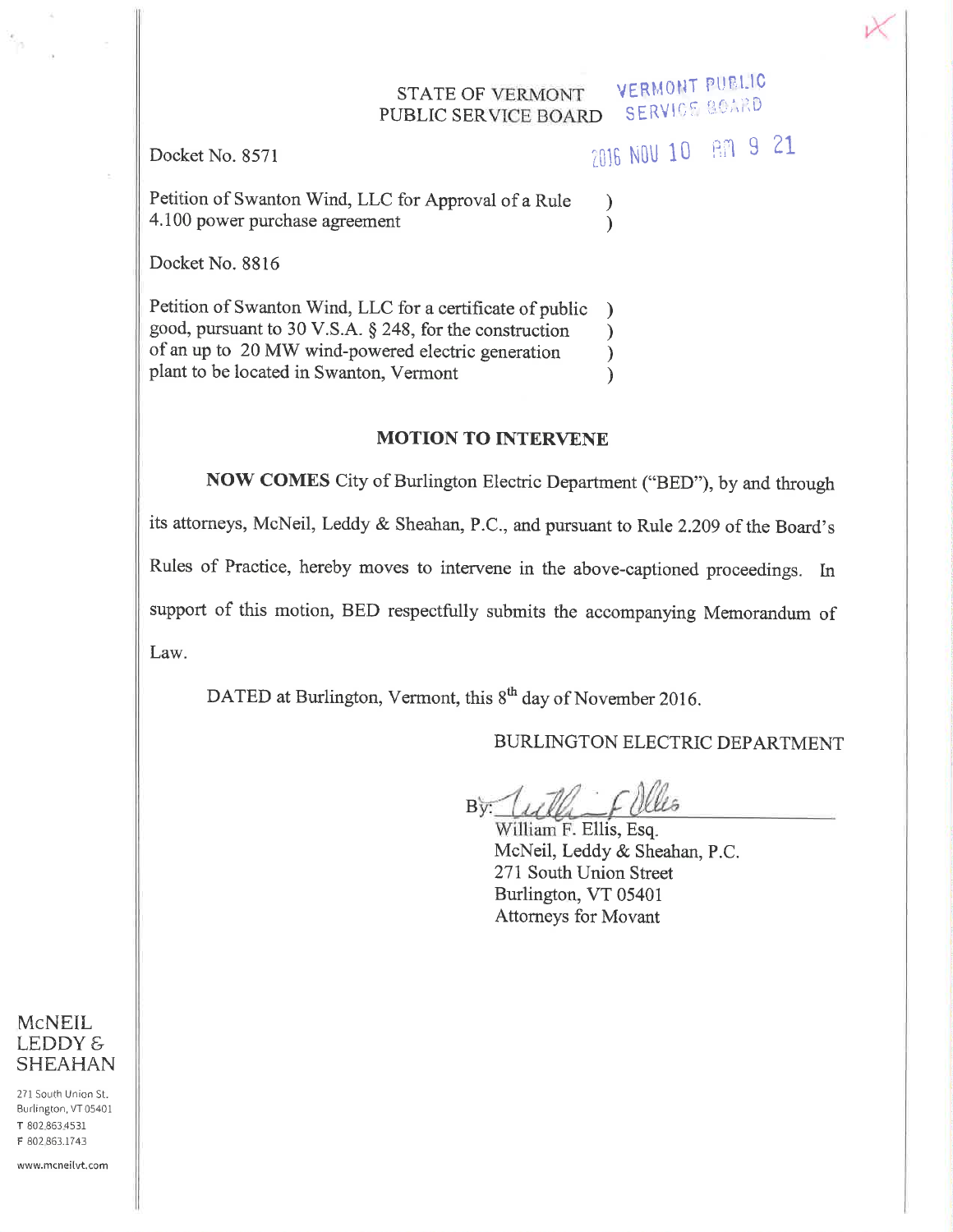#### **VERMONT PUBLIC** STATE OF VERMONT **SERVICE BOARD PUBLIC SERVICE BOARD**

Docket No. 8571

2016 NOV 10 AM 9 21

 $\mathcal{E}$ 

 $\lambda$ 

Petition of Swanton Wind, LLC for Approval of a Rule 4.100 power purchase agreement

Docket No. 8816

Petition of Swanton Wind, LLC for a certificate of public good, pursuant to 30 V.S.A. § 248, for the construction  $\lambda$ of an up to 20 MW wind-powered electric generation  $\lambda$ plant to be located in Swanton, Vermont  $\mathcal{L}$ 

## **MOTION TO INTERVENE**

NOW COMES City of Burlington Electric Department ("BED"), by and through its attorneys, McNeil, Leddy & Sheahan, P.C., and pursuant to Rule 2.209 of the Board's Rules of Practice, hereby moves to intervene in the above-captioned proceedings. In support of this motion, BED respectfully submits the accompanying Memorandum of Law.

DATED at Burlington, Vermont, this 8<sup>th</sup> day of November 2016.

# BURLINGTON ELECTRIC DEPARTMENT

By Tulli Filles

William F. Ellis, Esq. McNeil, Leddy & Sheahan, P.C. 271 South Union Street Burlington, VT 05401 **Attorneys for Movant** 



271 South Union St. Burlington, VT 05401 T 802.863.4531 F 802 863.1743

www.mcneilvt.com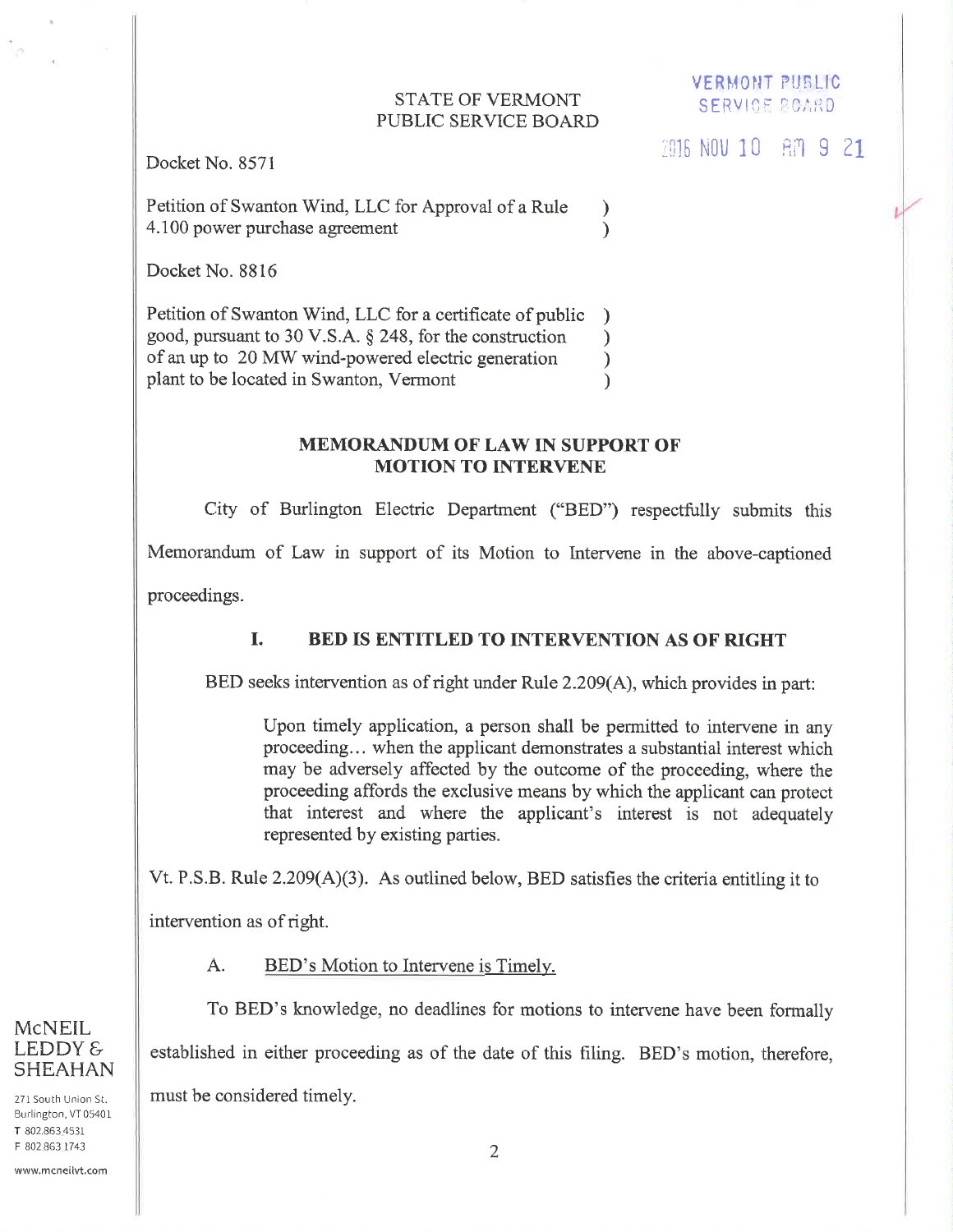#### **STATE OF VERMONT** PUBLIC SERVICE BOARD

 $\mathcal{F}$ 

 $\mathcal{E}$ 

**VERMONT PUBLIC SERVICE BOARD** 

Docket No. 8571

 $-22$ 

Petition of Swanton Wind, LLC for Approval of a Rule 4.100 power purchase agreement

Docket No. 8816

Petition of Swanton Wind, LLC for a certificate of public  $\lambda$ good, pursuant to 30 V.S.A. § 248, for the construction  $\mathcal{E}$ of an up to 20 MW wind-powered electric generation  $\mathcal{E}$ plant to be located in Swanton, Vermont  $\mathcal{L}$ 

#### **MEMORANDUM OF LAW IN SUPPORT OF MOTION TO INTERVENE**

City of Burlington Electric Department ("BED") respectfully submits this Memorandum of Law in support of its Motion to Intervene in the above-captioned

proceedings.

#### L. **BED IS ENTITLED TO INTERVENTION AS OF RIGHT**

BED seeks intervention as of right under Rule 2.209(A), which provides in part:

Upon timely application, a person shall be permitted to intervene in any proceeding... when the applicant demonstrates a substantial interest which may be adversely affected by the outcome of the proceeding, where the proceeding affords the exclusive means by which the applicant can protect that interest and where the applicant's interest is not adequately represented by existing parties.

Vt. P.S.B. Rule  $2.209(A)(3)$ . As outlined below, BED satisfies the criteria entitling it to

intervention as of right.

 $A_{\cdot}$ BED's Motion to Intervene is Timely.

To BED's knowledge, no deadlines for motions to intervene have been formally established in either proceeding as of the date of this filing. BED's motion, therefore, must be considered timely.

271 South Union St. Burlington, VT 05401 T 802.863.4531 F 802 863 1743

**SHEAHAN** 

**McNEIL** LEDDY &

www.mcneilvt.com

2016 NOV 10 80 9 21

1.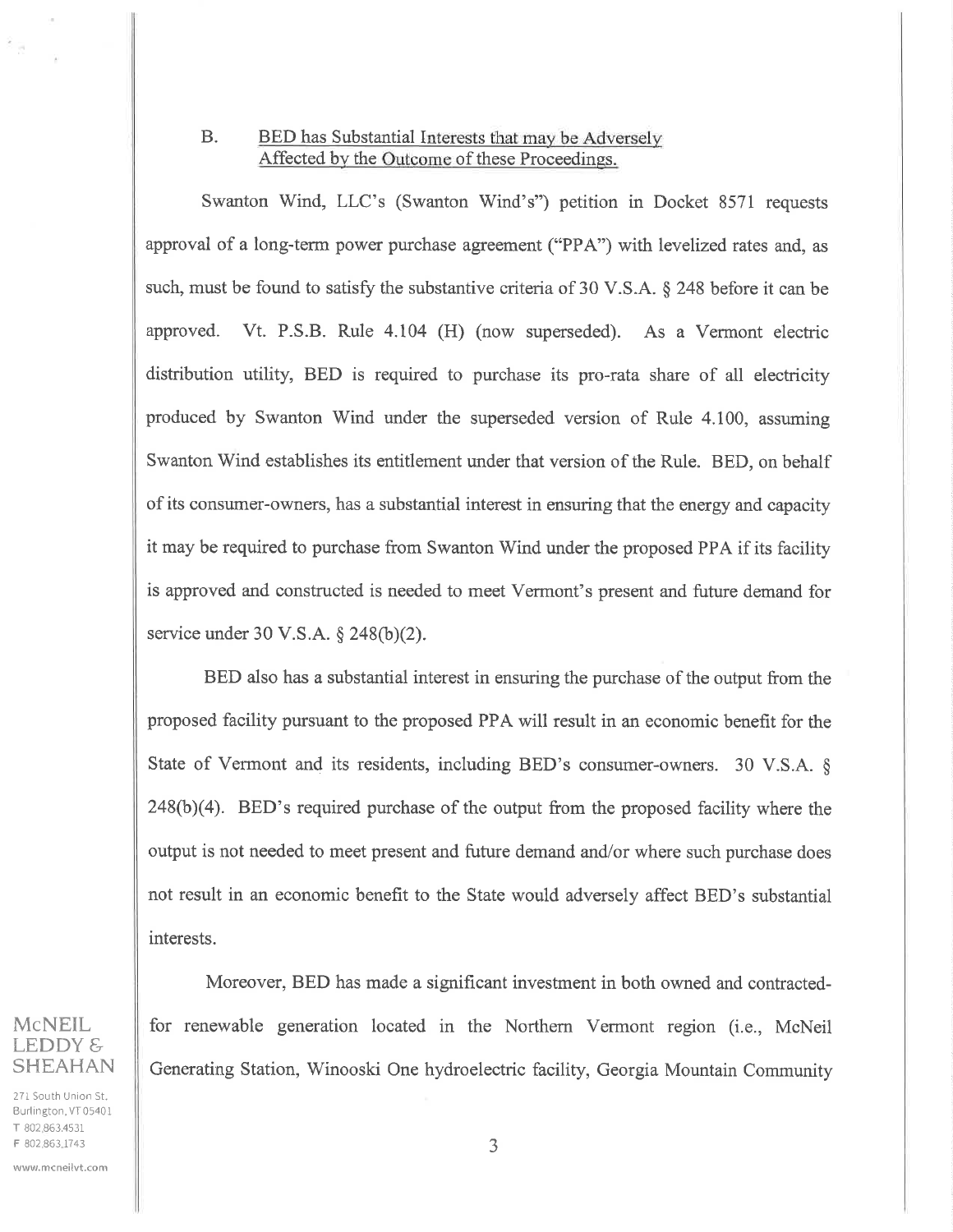## B. BED has Substantial Interests that may be Adversely Affected by the Outcome of these Proceedings.

Swanton Wind, LLC's (Swanton Wind's") petition in Docket 8571 requests approval of a long-term power purchase agreement ("PPA") with levelized rates and, as such, must be found to satisfy the substantive criteria of 30 V.S.A. § 248 before it can be approved. Vt. P.S.B. Rule 4.104 (H) (now superseded). As a Vermont electric distribution utility, BED is required to purchase its pro-rata share of all electricity produced by Swanton Wind under the superseded version of Rule 4.100, assuming Swanton Wind establishes its entitlement under that version of the Rule. BED, on behalf of its consumer-owners, has a substantial interest in ensuring that the energy and capacity it may be required to purchase from Swanton Wind under the proposed PPA if its facility is approved and constructed is needed to meet Vermont's present and future demand for service under 30 V.S.A.  $\S$  248(b)(2).

BED also has a substantial interest in ensuring the purchase of the output from the proposed facility pursuant to the proposed PPA will result in an economic benefit for the State of Vermont and its residents, including BED's consumer-owners. 30 V.S.A. §  $248(b)(4)$ . BED's required purchase of the output from the proposed facility where the output is not needed to meet present and future demand and/or where such purchase does not result in an economic benefit to the State would adversely affect BED's substantial interests.

Moreover, BED has made a significant investment in both owned and contractedfor renewable generation located in the Northern Vermont region (i.e., McNeil Generating Station, Winooski One hydroelectric facility, Georgia Mountain Community

## McNEIL LEDDY & SHEAHAN

है जु

271 South Union St. Burlington, VT 05401 T 802.863.4531 F 802 863.1743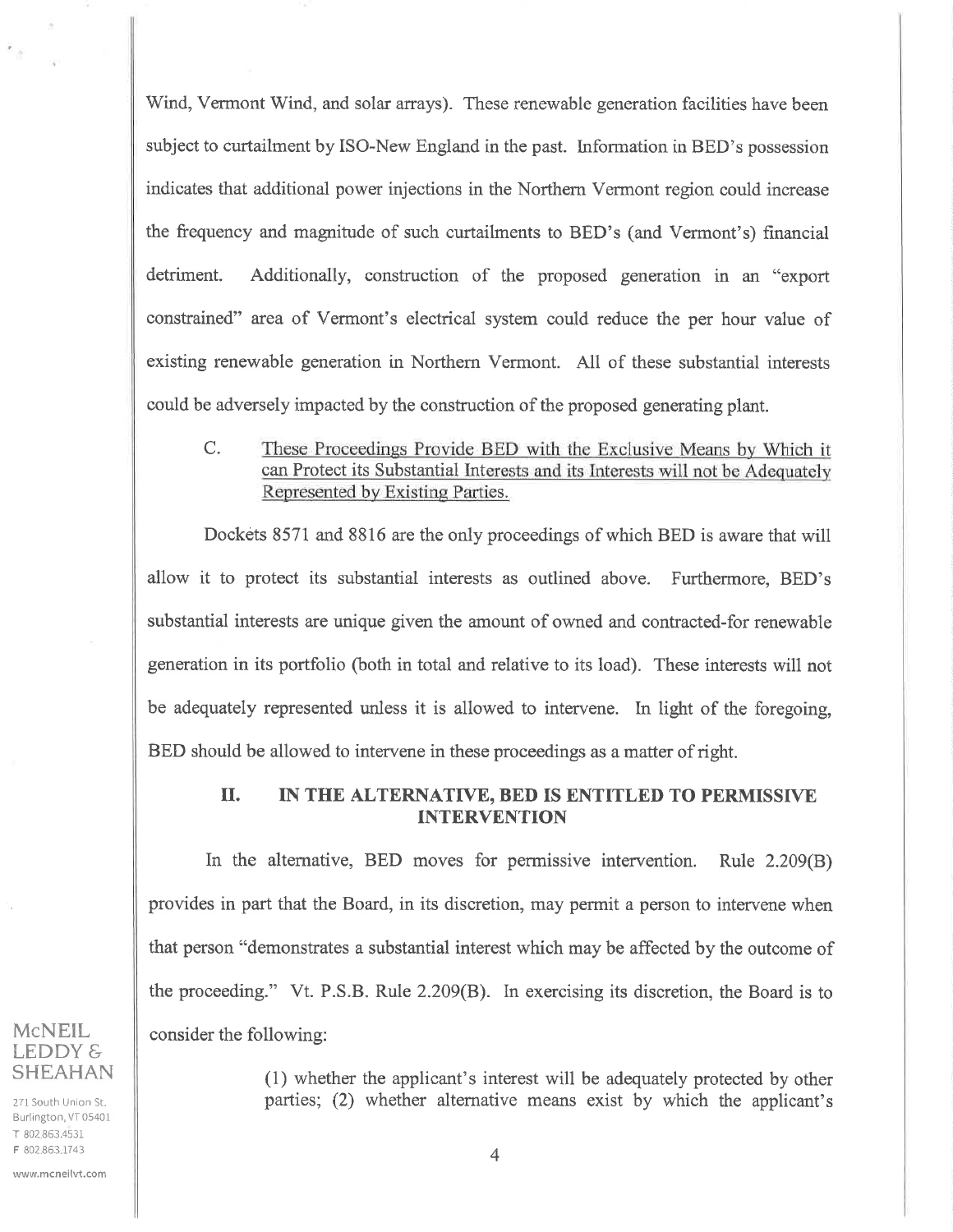Wind, Vermont Wind, and solar arrays). These renewable generation facilities have been subject to curtailment by ISO-New England in the past. Information in BED's possession indicates that additional power injections in the Northem Vermont region could increase the frequency and magnitude of such curtailments to BED's (and Vermont's) financial detriment. Additionally, construction of the proposed generation in an "export constrained" area of Vermont's electrical system couid reduce the per hour value of existing renewable generation in Northern Vermont. All of these substantial interests could be adversely impacted by the construction of the proposed generating plant.

C. These Proceedings Provide BED with the Exclusive Means by Which it can Protect its Substantial Interests and its Interests will not be Adequately Represented by Existing Parties.

Dockets 8571 and 8816 are the only proceedings of which BED is aware that will allow it to protect its substantial interests as outlined above. Furthermore, BED's substantial interests are unique given the amount of owned and contracted-for renewable generation in its portfolio (both in total and relative to its load). These interests will not be adequately represented unless it is allowed to intervene. In light of the foregoing, BED should be allowed to intervene in these proceedings as a matter of right.

### II. IN THE ALTERNATIVE, BED IS ENTITLED TO PERMISSIVE INTERVENTION

In the alternative, BED moves for permissive intervention. Rule 2.209(8) provides in part that the Board, in its discretion, may permit a person to interyene when that person "demonstrates a substantial interest which may be affected by the outcome of the proceeding." Vt. P.S.B. Rule 2.209(8). In exercising its discretion, the Board is to consider the following:

> (1) whether the applicant's interest will be adequately protected by other parties; (2) whether alternative means exist by which the applicant's

## McNEIL.  $LEDDYE$ SHEAHAN

Ŧ.y

271 South Union St. Burlington, VT 05401 T 802.863.453r F 802.863.1743

www.mcneilvt.com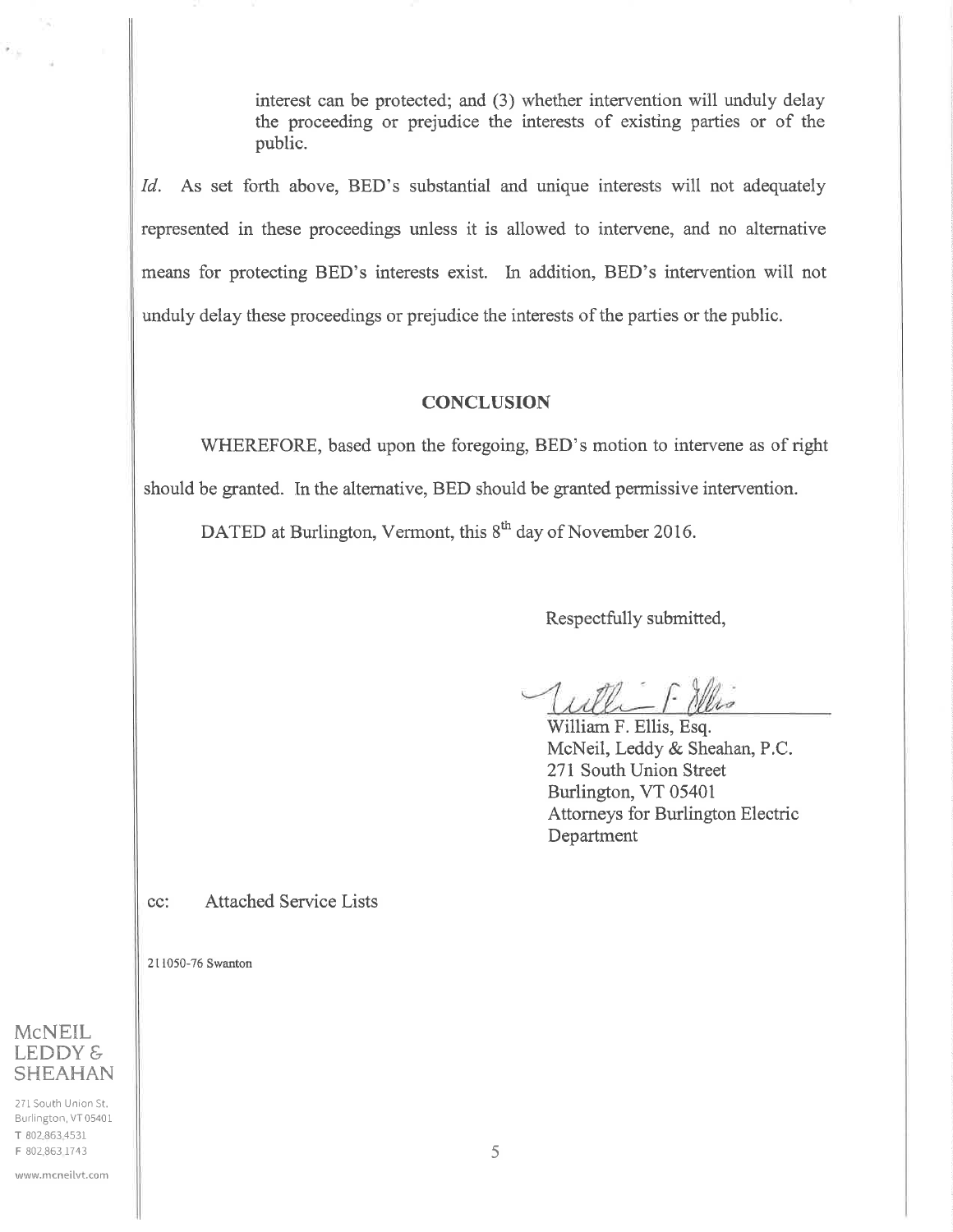interest can be protected; and (3) whether intervention will unduly delay the proceeding or prejudice the interests of existing parties or of the public.

Id. As set forth above, BED's substantial and unique interests will not adequately represented in these proceedings unless it is allowed to intervene, and no altemative means for protecting BED's interests exist. In addition, BED's intervention will not unduly delay these proceedings or prejudice the interests of the parties or the public.

#### **CONCLUSION**

WHEREFORE, based upon the foregoing, BED's motion to intervene as of right should be granted. In the alternative, BED should be granted permissive intervention.

DATED at Burlington, Vermont, this 8<sup>th</sup> day of November 2016.

Respectfully submitted,

William F. Ellis, Esq. McNeil, Leddy & Sheahan, P.C. 271 South Union Street Burlington, VT 05401 Attorneys for Burlington Electric Department

cc: Attached Service Lists

2lIQ50-76 Swanton

# **McNEIL** LEDDY & **SHEAHAN**

271 South Union St. Burlington, VT05401 T 802.863.453r F 802.863 1743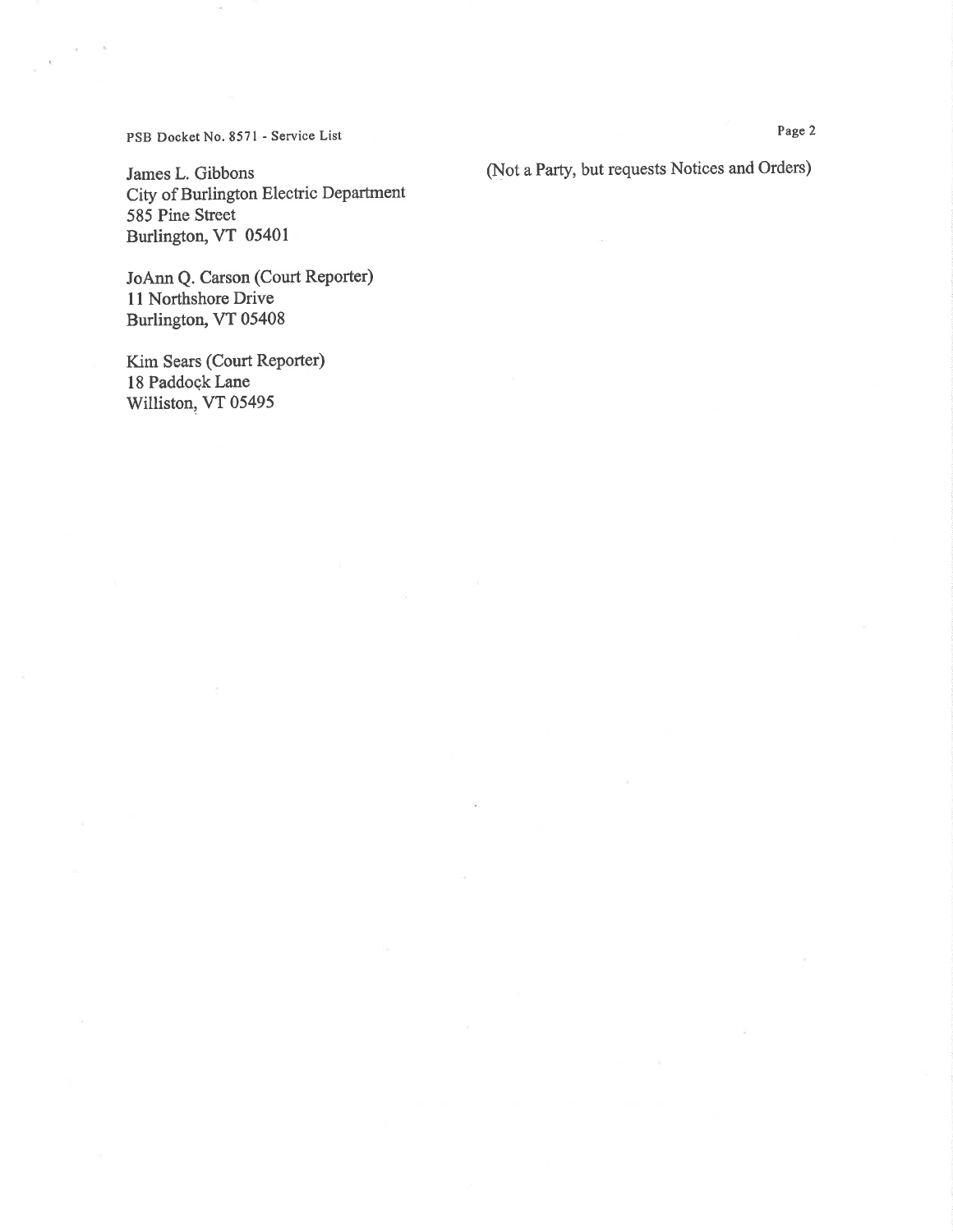PSB Docket No. 8571 - Service List

James L. Gibbons City of Burlington Electric Department 585 Pine Street Burlington, VT 05401

JoAnn Q. Carson (Court Reporter) l1 Northshore Drive Burlington, VT 05408

Kim Sears (Court Reporter) 18 Paddoçk Lane Williston, VT 05495

(Not a Party, but requests Notices and Orders)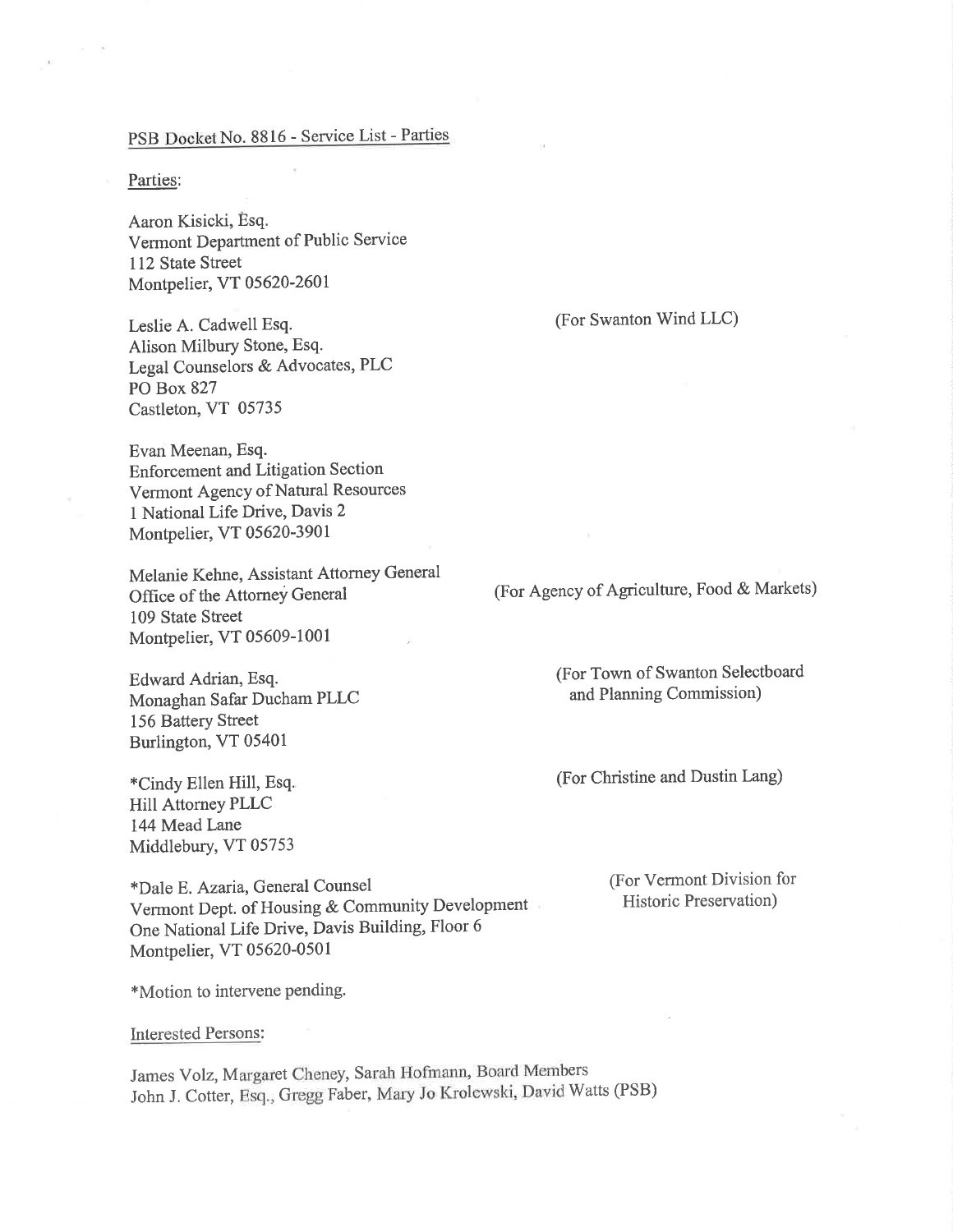#### PSB Docket No. 8816 - Service List - Parties

#### Parties:

 $\lambda = 0$ 

Aaron Kisicki, Esq. Vermont Department of Public Service 112 State Street Montpelier, VT 05620-2601

Leslie A. Cadwell Esq. Alison Milbury Stone, Esq. Legal Counselors & Advocates, PLC PO Box 827 Castleton, VT 05735

Evan Meenan, Esq. Enforcement and Litigation Section Vermont Agency of Natural Resources <sup>1</sup>National Life Drive, Davis 2 Monþelier, VT 05620-3901

Melanie Kehne, Assistant Attorney General Office of the Attorney General 109 State Street Monþelier, VT 05609-1001

Edward Adrian, Esq. Monaghan Safar Ducham PLLC 156 Battery Street Burlington, VT 05401

\*Cindy Ellen Hill, Esq. Hill Attorney PLLC 144 Mead Lane Middlebury, VT 05753

\*Dale E. Azaria, General Counsel Vermont Dept. of Housing & Community Development One National Life Drive, Davis Building, Floor <sup>6</sup> Montpelier, VT 05620-0501

\*Motion to intervene Pending.

lnterested Persons:

James Volz, Margaret Cheney, Sarah Hofmann, Board Members John J. Cotter, Esq., Gregg Faber, Mary Jo Krolewski, David Watts (PSB)

(For Swanton Wind LLC)

(For Agency of Agriculture, Food & Markets)

(For Town of Swanton Selectboard and Planning Commission)

(For Christine and Dustin Lang)

(For Vermont Division for Historic Preservation)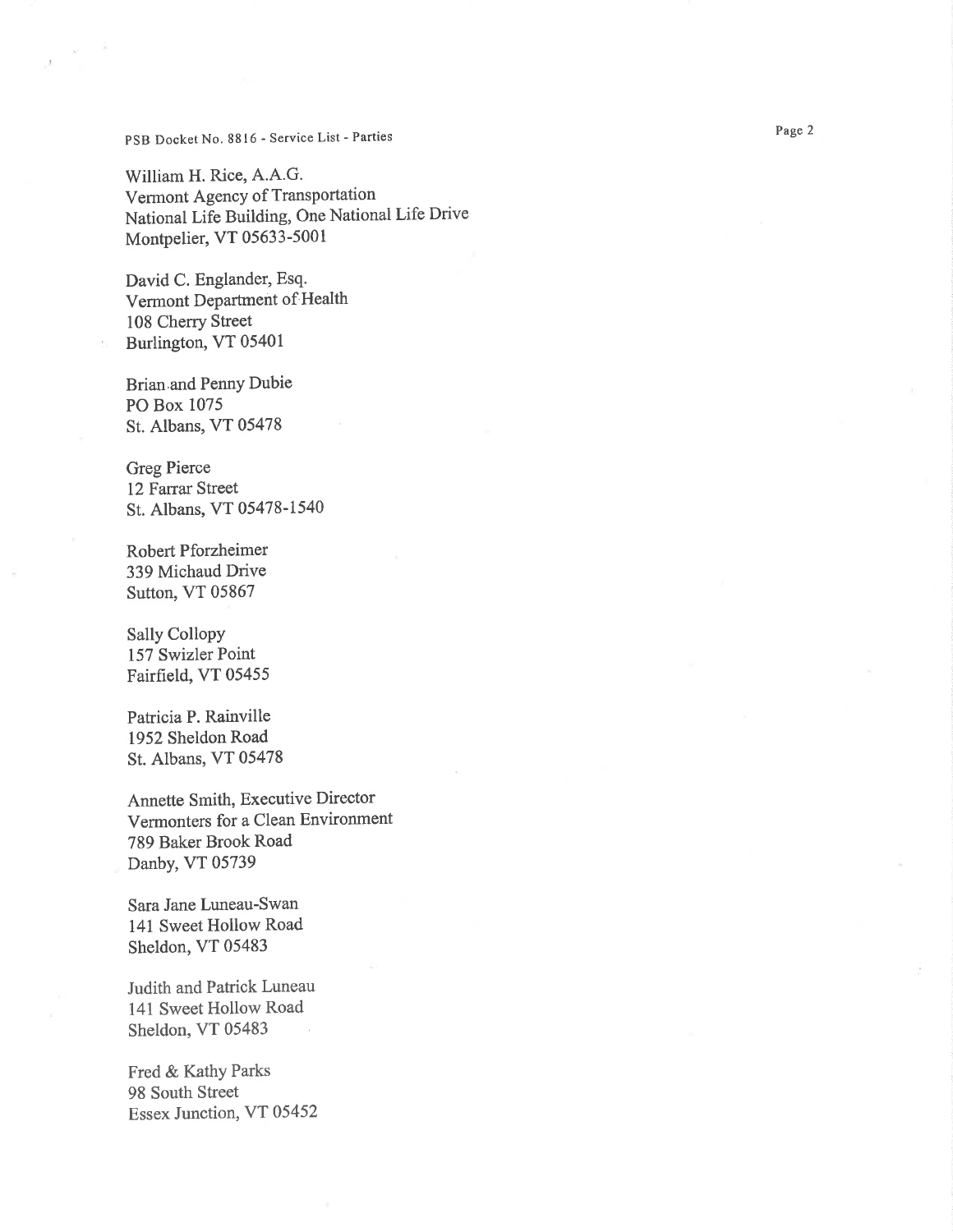#### PSB Docket No. 8816 - Service List - Parties

William H. Rice, A.A.G. Vermont Agency of Transportation National Life Building, One National Life Drive Monþelier, VT 05633-5001

David C. Englander, Esq. Vermont Department of Health 108 Cherry Street Burlington, VT 05401

Brian.and PennY Dubie PO Box 1075 St. Albans, VT 05478

Greg Pierce 12Farrar Street St. Albans, VT 05478-1540

Robert Pforzheimer 339 Michaud Drive Sutton, VT 05867

Sally Collopy 157 Swizler Point Fairfield, VT 05455

Patricia P. Rainville 1952 Sheldon Road St. Albans, VT 05478

Annette Smith, Executive Director Vermonters for a Clean Environment 789 Baker Brook Road Danby, VT 05739

Sara Jane Luneau-Swan 141 Sweet Hollow Road Sheldon, VT 05483

Judith and Patrick Luneau 141 Sweet Hollow Road Sheldon, VT 05483

Fred & Kathy Parks 98 South Street Essex Junction, VT 05452